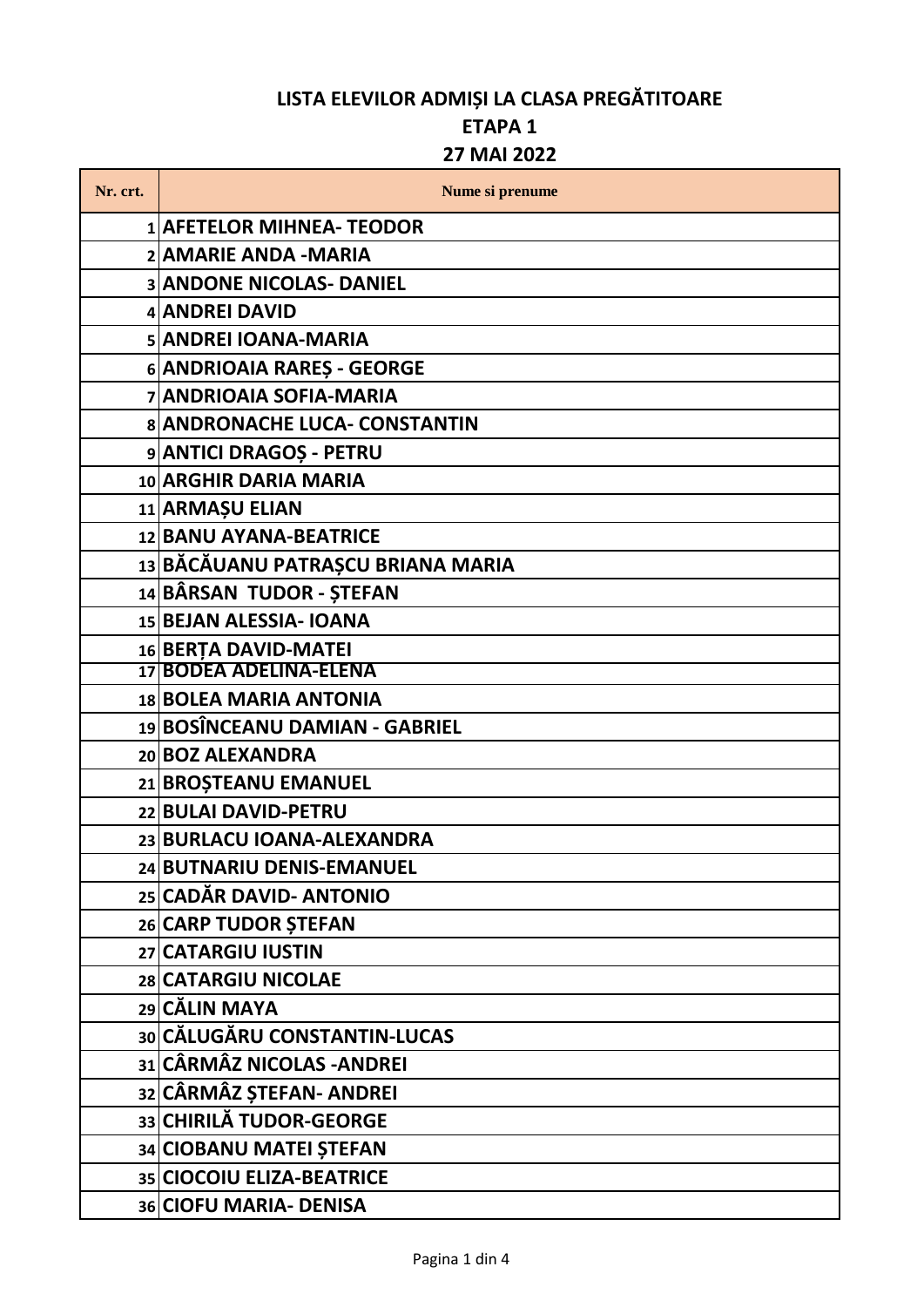### **ETAPA 1**

#### **27 MAI 2022**

| Nr. crt. | Nume si prenume                   |
|----------|-----------------------------------|
|          | <b>1 AFETELOR MIHNEA- TEODOR</b>  |
|          | 2 AMARIE ANDA - MARIA             |
|          | <b>3 ANDONE NICOLAS- DANIEL</b>   |
|          | 4 ANDREI DAVID                    |
|          | 5 ANDREI IOANA-MARIA              |
|          | 6 ANDRIOAIA RARES - GEORGE        |
|          | <b>7 ANDRIOAIA SOFIA-MARIA</b>    |
|          | 8 ANDRONACHE LUCA- CONSTANTIN     |
|          | 9 ANTICI DRAGOȘ - PETRU           |
|          | 10 ARGHIR DARIA MARIA             |
|          | 11 ARMAȘU ELIAN                   |
|          | 12 BANU AYANA-BEATRICE            |
|          | 13 BĂCĂUANU PATRAȘCU BRIANA MARIA |
|          | 14 BÂRSAN TUDOR - ȘTEFAN          |
|          | 15 BEJAN ALESSIA- IOANA           |
|          | 16 BERTA DAVID-MATEI              |
|          | 17 BODEA ADELINA-ELENA            |
|          | 18 BOLEA MARIA ANTONIA            |
|          | 19 BOSÎNCEANU DAMIAN - GABRIEL    |
|          | 20 BOZ ALEXANDRA                  |
|          | 21 BROȘTEANU EMANUEL              |
|          | 22 BULAI DAVID-PETRU              |
|          | 23 BURLACU IOANA-ALEXANDRA        |
|          | 24 BUTNARIU DENIS-EMANUEL         |
|          | 25 CADĂR DAVID- ANTONIO           |
|          | 26 CARP TUDOR ȘTEFAN              |
|          | 27 CATARGIU IUSTIN                |
|          | 28 CATARGIU NICOLAE               |
|          | 29 CĂLIN MAYA                     |
|          | 30 CĂLUGĂRU CONSTANTIN-LUCAS      |
|          | 31 CÂRMÂZ NICOLAS - ANDREI        |
|          | 32 CÂRMÂZ ȘTEFAN- ANDREI          |
|          | 33 CHIRILĂ TUDOR-GEORGE           |
|          | 34 CIOBANU MATEI ȘTEFAN           |
|          | 35 CIOCOIU ELIZA-BEATRICE         |
|          | 36 CIOFU MARIA- DENISA            |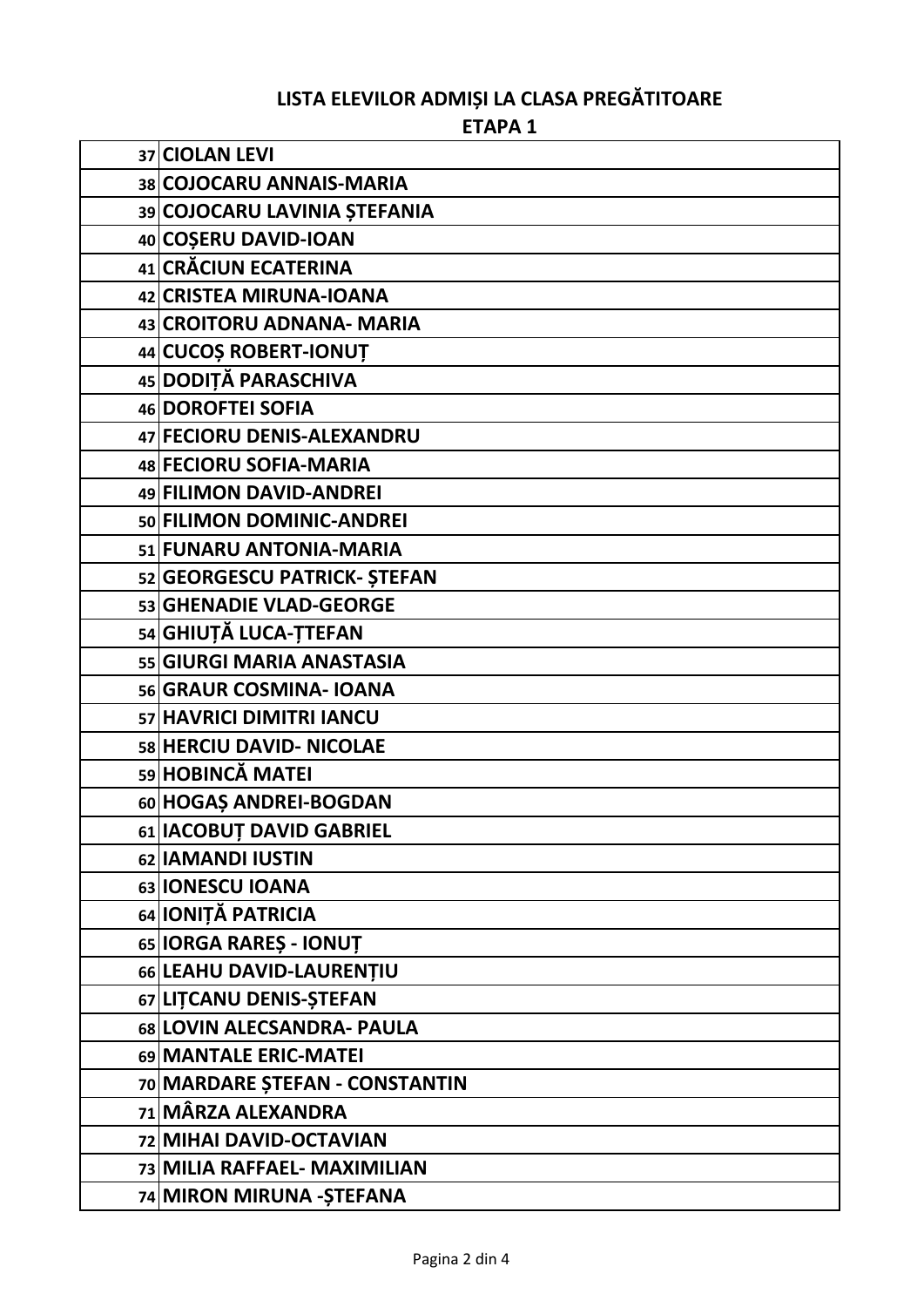ETAPA<sub>1</sub>

| 37 CIOLAN LEVI                 |
|--------------------------------|
| 38 COJOCARU ANNAIS-MARIA       |
| 39 COJOCARU LAVINIA ȘTEFANIA   |
| 40 COSERU DAVID-IOAN           |
| 41 CRĂCIUN ECATERINA           |
| 42 CRISTEA MIRUNA-IOANA        |
| 43 CROITORU ADNANA- MARIA      |
| 44 CUCOS ROBERT-IONUT          |
| 45 DODIȚĂ PARASCHIVA           |
| 46 DOROFTEI SOFIA              |
| 47 FECIORU DENIS-ALEXANDRU     |
| 48 FECIORU SOFIA-MARIA         |
| 49 FILIMON DAVID-ANDREI        |
| 50 FILIMON DOMINIC-ANDREI      |
| 51 FUNARU ANTONIA-MARIA        |
| 52 GEORGESCU PATRICK- ȘTEFAN   |
| 53 GHENADIE VLAD-GEORGE        |
| 54 GHIUȚĂ LUCA-ȚTEFAN          |
| 55 GIURGI MARIA ANASTASIA      |
| 56 GRAUR COSMINA- IOANA        |
| 57 HAVRICI DIMITRI IANCU       |
| 58 HERCIU DAVID- NICOLAE       |
| 59 HOBINCĂ MATEI               |
| 60 HOGAS ANDREI-BOGDAN         |
| 61 IACOBUT DAVID GABRIEL       |
| 62 IAMANDI IUSTIN              |
| 63 IONESCU IOANA               |
| 64 IONIȚĂ PATRICIA             |
| 65 IORGA RARES - IONUT         |
| 66 LEAHU DAVID-LAURENȚIU       |
| 67 LITCANU DENIS-STEFAN        |
| 68 LOVIN ALECSANDRA- PAULA     |
| 69 MANTALE ERIC-MATEI          |
| 70 MARDARE ȘTEFAN - CONSTANTIN |
| 71 MÂRZA ALEXANDRA             |
| 72 MIHAI DAVID-OCTAVIAN        |
| 73 MILIA RAFFAEL- MAXIMILIAN   |
| 74 MIRON MIRUNA - ȘTEFANA      |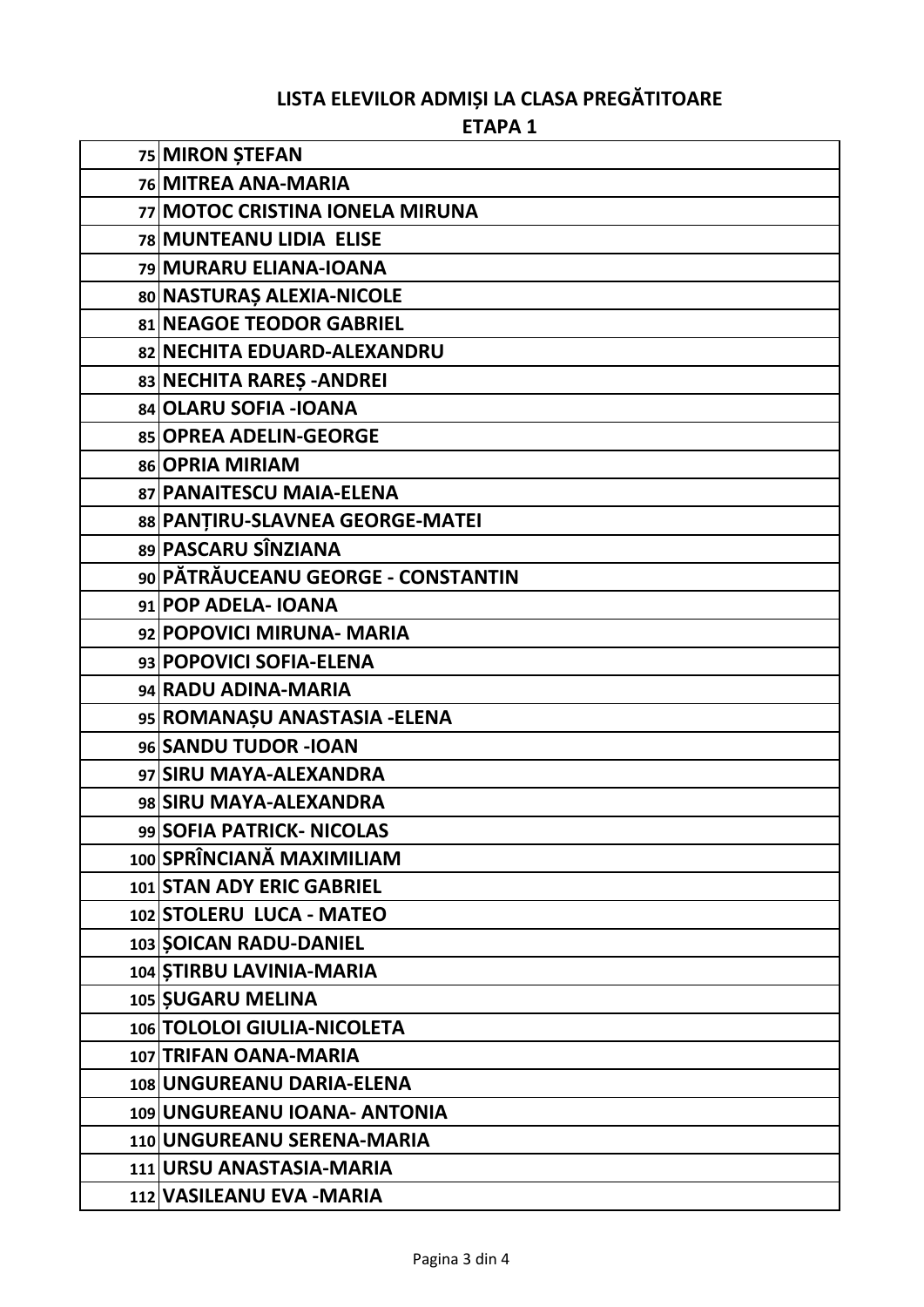#### ETAPA<sub>1</sub>

| 75 MIRON STEFAN                    |
|------------------------------------|
| 76 MITREA ANA-MARIA                |
| 77 MOTOC CRISTINA IONELA MIRUNA    |
| <b>78 MUNTEANU LIDIA ELISE</b>     |
| 79 MURARU ELIANA-IOANA             |
| 80 NASTURAȘ ALEXIA-NICOLE          |
| 81 NEAGOE TEODOR GABRIEL           |
| 82 NECHITA EDUARD-ALEXANDRU        |
| 83 NECHITA RARES - ANDREI          |
| 84 OLARU SOFIA - IOANA             |
| 85 OPREA ADELIN-GEORGE             |
| 86 OPRIA MIRIAM                    |
| 87 PANAITESCU MAIA-ELENA           |
| 88 PANTIRU-SLAVNEA GEORGE-MATEI    |
| 89 PASCARU SÎNZIANA                |
| 90 PĂTRĂUCEANU GEORGE - CONSTANTIN |
| 91 POP ADELA- IOANA                |
| 92 POPOVICI MIRUNA- MARIA          |
| 93 POPOVICI SOFIA-ELENA            |
| 94 RADU ADINA-MARIA                |
| 95 ROMANAȘU ANASTASIA - ELENA      |
| 96 SANDU TUDOR - IOAN              |
| 97 SIRU MAYA-ALEXANDRA             |
| 98 SIRU MAYA-ALEXANDRA             |
| 99 SOFIA PATRICK- NICOLAS          |
| 100 SPRÎNCIANĂ MAXIMILIAM          |
| 101 STAN ADY ERIC GABRIEL          |
| 102 STOLERU LUCA - MATEO           |
| 103 SOICAN RADU-DANIEL             |
| 104 STIRBU LAVINIA-MARIA           |
| 105 SUGARU MELINA                  |
| 106 TOLOLOI GIULIA-NICOLETA        |
| 107 TRIFAN OANA-MARIA              |
| 108 UNGUREANU DARIA-ELENA          |
| 109 UNGUREANU IOANA- ANTONIA       |
| 110 UNGUREANU SERENA-MARIA         |
| 111 URSU ANASTASIA-MARIA           |
| 112 VASILEANU EVA - MARIA          |